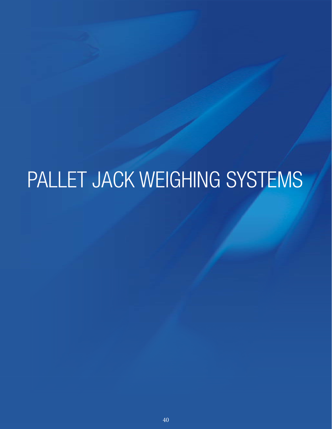# PALLET JACK WEIGHING SYSTEMS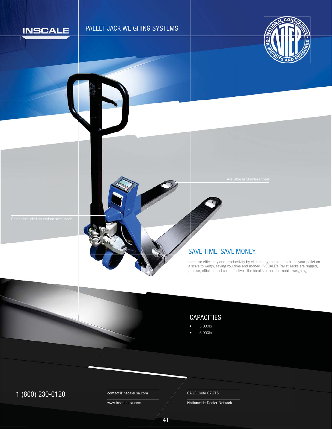

# PALLET JACK WEIGHING SYSTEMS



#### SAVE TIME. SAVE MONEY. S

Increase efficiency and productivity by eliminating the need to place your pallet on a scale to weigh, saving you time and money. INSCALE's Pallet Jacks are rugged, precise, efficient and cost effective - the ideal solution for mobile weighing. n p

### CAPACITIES

- 3,000lb
- 5,000lb

# 1 (800) 230-0120 Contact@inscaleusa.com CAGE Code 07GT5

contact@inscaleusa.com

www.inscaleusa.com

Nationwide Dealer Network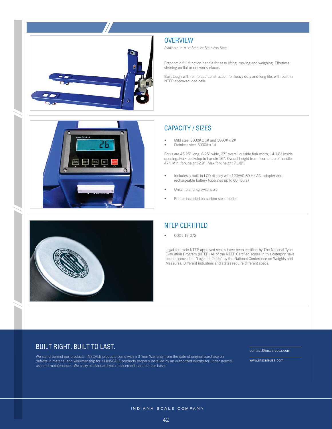



Available in Mild Steel or Stainless Steel

Ergonomic full function handle for easy lifting, moving and weighing. Effortless steering on flat or uneven surfaces

Built tough with reinforced construction for heavy duty and long life, with built-in NTEP approved load cells

### CAPACITY / SIZES

- Mild steel 3000# x 1# and 5000# x 2#
- Stainless steel 3000# x 1#

Forks are 45.25" long, 6.25" wide, 27" overall outside fork width, 14 1/8" inside opening. Fork backstop to handle 16". Overall height from floor to top of handle 47". Min. fork height 2.9", Max fork height 7 1/8".

- Includes a built-in LCD display with 120VAC 60 Hz AC adapter and rechargeable battery (operates up to 60 hours)
- Units: lb and kg switchable
- Printer included on carbon steel model



# NTEP CERTIFIED

• COC# 19-072

Legal-for-trade NTEP approved scales have been certified by The National Type Evaluation Progrem (NTEP) All of the NTEP Certified scales in this category have been approved as "Legal for Trade" by the National Conference on Weights and Measures. Different industries and states require different specs.

#### BUILT RIGHT. BUILT TO LAST.

We stand behind our products. INSCALE products come with a 3-Year Warranty from the date of original purchase on defects in material and workmanship for all INSCALE products properly installed by an authorized distributor under normal use and maintenance. We carry all standardized replacement parts for our bases.

contact@inscaleusa.com

www.inscaleusa.com

INDIANA SCALE COMPANY